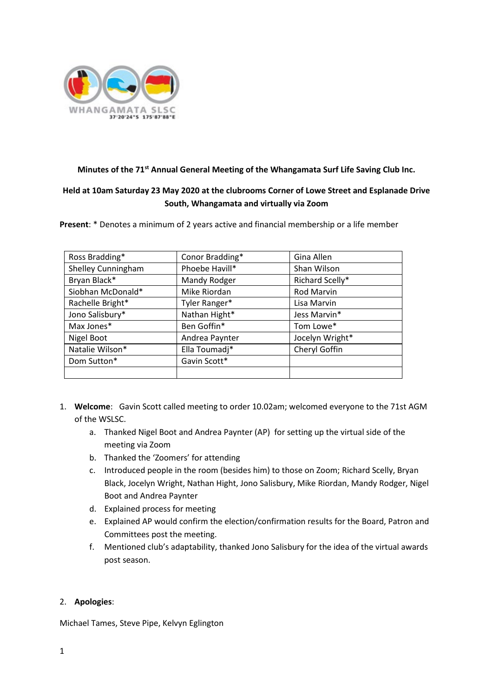

# **Minutes of the 71st Annual General Meeting of the Whangamata Surf Life Saving Club Inc.**

# **Held at 10am Saturday 23 May 2020 at the clubrooms Corner of Lowe Street and Esplanade Drive South, Whangamata and virtually via Zoom**

**Present**: \* Denotes a minimum of 2 years active and financial membership or a life member

| Ross Bradding*     | Conor Bradding* | Gina Allen        |
|--------------------|-----------------|-------------------|
| Shelley Cunningham | Phoebe Havill*  | Shan Wilson       |
| Bryan Black*       | Mandy Rodger    | Richard Scelly*   |
| Siobhan McDonald*  | Mike Riordan    | <b>Rod Marvin</b> |
| Rachelle Bright*   | Tyler Ranger*   | Lisa Marvin       |
| Jono Salisbury*    | Nathan Hight*   | Jess Marvin*      |
| Max Jones*         | Ben Goffin*     | Tom Lowe*         |
| Nigel Boot         | Andrea Paynter  | Jocelyn Wright*   |
| Natalie Wilson*    | Ella Toumadj*   | Cheryl Goffin     |
| Dom Sutton*        | Gavin Scott*    |                   |
|                    |                 |                   |

- 1. **Welcome**: Gavin Scott called meeting to order 10.02am; welcomed everyone to the 71st AGM of the WSLSC.
	- a. Thanked Nigel Boot and Andrea Paynter (AP) for setting up the virtual side of the meeting via Zoom
	- b. Thanked the 'Zoomers' for attending
	- c. Introduced people in the room (besides him) to those on Zoom; Richard Scelly, Bryan Black, Jocelyn Wright, Nathan Hight, Jono Salisbury, Mike Riordan, Mandy Rodger, Nigel Boot and Andrea Paynter
	- d. Explained process for meeting
	- e. Explained AP would confirm the election/confirmation results for the Board, Patron and Committees post the meeting.
	- f. Mentioned club's adaptability, thanked Jono Salisbury for the idea of the virtual awards post season.

### 2. **Apologies**:

Michael Tames, Steve Pipe, Kelvyn Eglington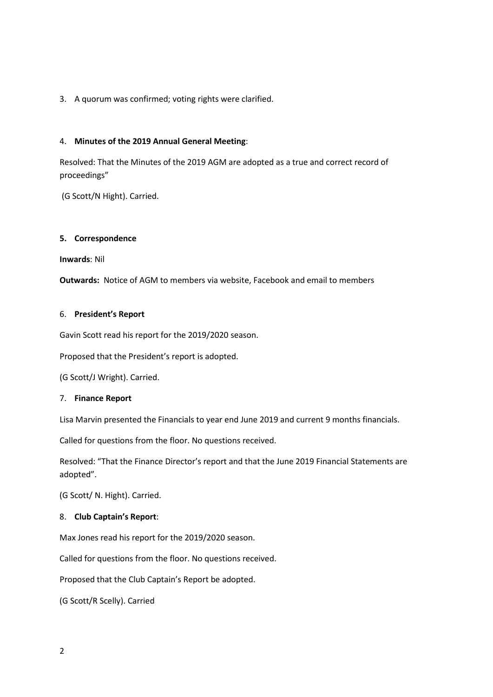## 3. A quorum was confirmed; voting rights were clarified.

#### 4. **Minutes of the 2019 Annual General Meeting**:

Resolved: That the Minutes of the 2019 AGM are adopted as a true and correct record of proceedings"

(G Scott/N Hight). Carried.

#### **5. Correspondence**

**Inwards**: Nil

**Outwards:** Notice of AGM to members via website, Facebook and email to members

#### 6. **President's Report**

Gavin Scott read his report for the 2019/2020 season.

Proposed that the President's report is adopted.

(G Scott/J Wright). Carried.

#### 7. **Finance Report**

Lisa Marvin presented the Financials to year end June 2019 and current 9 months financials.

Called for questions from the floor. No questions received.

Resolved: "That the Finance Director's report and that the June 2019 Financial Statements are adopted".

(G Scott/ N. Hight). Carried.

### 8. **Club Captain's Report**:

Max Jones read his report for the 2019/2020 season.

Called for questions from the floor. No questions received.

Proposed that the Club Captain's Report be adopted.

(G Scott/R Scelly). Carried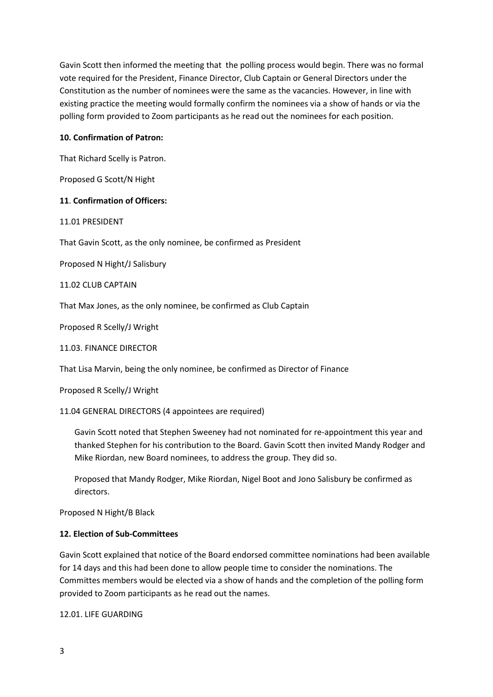Gavin Scott then informed the meeting that the polling process would begin. There was no formal vote required for the President, Finance Director, Club Captain or General Directors under the Constitution as the number of nominees were the same as the vacancies. However, in line with existing practice the meeting would formally confirm the nominees via a show of hands or via the polling form provided to Zoom participants as he read out the nominees for each position.

## **10. Confirmation of Patron:**

That Richard Scelly is Patron.

Proposed G Scott/N Hight

### **11**. **Confirmation of Officers:**

### 11.01 PRESIDENT

That Gavin Scott, as the only nominee, be confirmed as President

Proposed N Hight/J Salisbury

11.02 CLUB CAPTAIN

That Max Jones, as the only nominee, be confirmed as Club Captain

Proposed R Scelly/J Wright

11.03. FINANCE DIRECTOR

That Lisa Marvin, being the only nominee, be confirmed as Director of Finance

Proposed R Scelly/J Wright

11.04 GENERAL DIRECTORS (4 appointees are required)

Gavin Scott noted that Stephen Sweeney had not nominated for re-appointment this year and thanked Stephen for his contribution to the Board. Gavin Scott then invited Mandy Rodger and Mike Riordan, new Board nominees, to address the group. They did so.

Proposed that Mandy Rodger, Mike Riordan, Nigel Boot and Jono Salisbury be confirmed as directors.

Proposed N Hight/B Black

# **12. Election of Sub-Committees**

Gavin Scott explained that notice of the Board endorsed committee nominations had been available for 14 days and this had been done to allow people time to consider the nominations. The Committes members would be elected via a show of hands and the completion of the polling form provided to Zoom participants as he read out the names.

12.01. LIFE GUARDING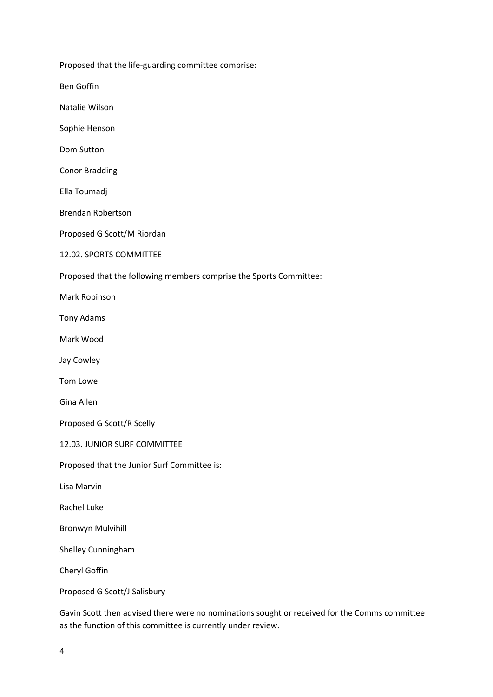Proposed that the life-guarding committee comprise:

Ben Goffin

Natalie Wilson

Sophie Henson

Dom Sutton

Conor Bradding

Ella Toumadj

Brendan Robertson

Proposed G Scott/M Riordan

12.02. SPORTS COMMITTEE

Proposed that the following members comprise the Sports Committee:

Mark Robinson

Tony Adams

Mark Wood

Jay Cowley

Tom Lowe

Gina Allen

Proposed G Scott/R Scelly

12.03. JUNIOR SURF COMMITTEE

Proposed that the Junior Surf Committee is:

Lisa Marvin

Rachel Luke

Bronwyn Mulvihill

Shelley Cunningham

Cheryl Goffin

Proposed G Scott/J Salisbury

Gavin Scott then advised there were no nominations sought or received for the Comms committee as the function of this committee is currently under review.